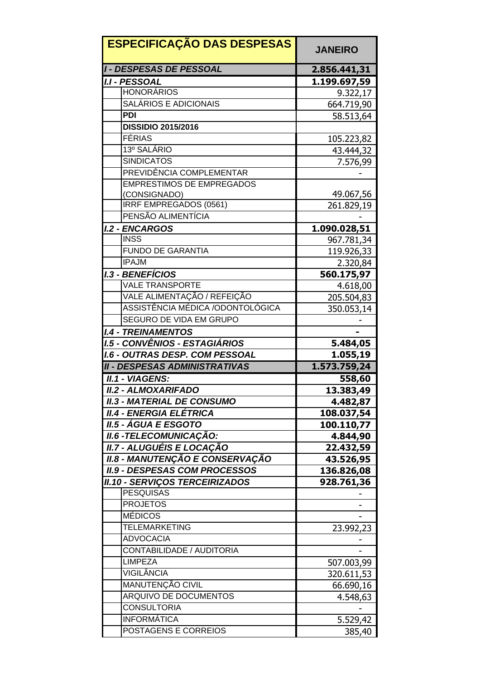| <b>I - DESPESAS DE PESSOAL</b><br>2.856.441,31<br><b>I.I - PESSOAL</b><br>1.199.697,59<br><b>HONORÁRIOS</b><br>9.322,17<br><b>SALÁRIOS E ADICIONAIS</b><br>664.719,90<br><b>PDI</b><br>58.513,64<br><b>DISSIDIO 2015/2016</b><br><b>FÉRIAS</b><br>105.223,82<br>13º SALÁRIO<br>43.444,32<br><b>SINDICATOS</b><br>7.576,99<br>PREVIDÊNCIA COMPLEMENTAR<br><b>EMPRESTIMOS DE EMPREGADOS</b><br>49.067,56<br>(CONSIGNADO)<br><b>IRRF EMPREGADOS (0561)</b><br>261.829,19<br>PENSÃO ALIMENTÍCIA<br><b>I.2 - ENCARGOS</b><br>1.090.028,51<br><b>INSS</b><br>967.781,34<br><b>FUNDO DE GARANTIA</b><br>119.926,33<br><b>IPAJM</b><br>2.320,84<br><b>I.3 - BENEFÍCIOS</b><br>560.175,97<br><b>VALE TRANSPORTE</b><br>4.618,00<br>VALE ALIMENTAÇÃO / REFEIÇÃO<br>205.504,83<br>ASSISTÊNCIA MÉDICA /ODONTOLÓGICA<br>350.053,14<br>SEGURO DE VIDA EM GRUPO<br><b>I.4 - TREINAMENTOS</b><br>1.5 - CONVÊNIOS - ESTAGIÁRIOS<br>5.484,05<br><b>I.6 - OUTRAS DESP. COM PESSOAL</b><br>1.055,19<br><b>II - DESPESAS ADMINISTRATIVAS</b><br>1.573.759,24<br><b>II.1 - VIAGENS:</b><br>558,60<br><b>II.2 - ALMOXARIFADO</b><br>13.383,49<br><b>II.3 - MATERIAL DE CONSUMO</b><br>4.482,87<br><b>II.4 - ENERGIA ELÉTRICA</b><br>108.037,54<br><b>II.5 - ÁGUA E ESGOTO</b><br>100.110,77<br><b>II.6 - TELECOMUNICAÇÃO:</b><br>4.844,90<br>II.7 - ALUGUÉIS E LOCAÇÃO |
|-------------------------------------------------------------------------------------------------------------------------------------------------------------------------------------------------------------------------------------------------------------------------------------------------------------------------------------------------------------------------------------------------------------------------------------------------------------------------------------------------------------------------------------------------------------------------------------------------------------------------------------------------------------------------------------------------------------------------------------------------------------------------------------------------------------------------------------------------------------------------------------------------------------------------------------------------------------------------------------------------------------------------------------------------------------------------------------------------------------------------------------------------------------------------------------------------------------------------------------------------------------------------------------------------------------------------------------------------|
|                                                                                                                                                                                                                                                                                                                                                                                                                                                                                                                                                                                                                                                                                                                                                                                                                                                                                                                                                                                                                                                                                                                                                                                                                                                                                                                                                 |
|                                                                                                                                                                                                                                                                                                                                                                                                                                                                                                                                                                                                                                                                                                                                                                                                                                                                                                                                                                                                                                                                                                                                                                                                                                                                                                                                                 |
|                                                                                                                                                                                                                                                                                                                                                                                                                                                                                                                                                                                                                                                                                                                                                                                                                                                                                                                                                                                                                                                                                                                                                                                                                                                                                                                                                 |
|                                                                                                                                                                                                                                                                                                                                                                                                                                                                                                                                                                                                                                                                                                                                                                                                                                                                                                                                                                                                                                                                                                                                                                                                                                                                                                                                                 |
|                                                                                                                                                                                                                                                                                                                                                                                                                                                                                                                                                                                                                                                                                                                                                                                                                                                                                                                                                                                                                                                                                                                                                                                                                                                                                                                                                 |
|                                                                                                                                                                                                                                                                                                                                                                                                                                                                                                                                                                                                                                                                                                                                                                                                                                                                                                                                                                                                                                                                                                                                                                                                                                                                                                                                                 |
|                                                                                                                                                                                                                                                                                                                                                                                                                                                                                                                                                                                                                                                                                                                                                                                                                                                                                                                                                                                                                                                                                                                                                                                                                                                                                                                                                 |
|                                                                                                                                                                                                                                                                                                                                                                                                                                                                                                                                                                                                                                                                                                                                                                                                                                                                                                                                                                                                                                                                                                                                                                                                                                                                                                                                                 |
|                                                                                                                                                                                                                                                                                                                                                                                                                                                                                                                                                                                                                                                                                                                                                                                                                                                                                                                                                                                                                                                                                                                                                                                                                                                                                                                                                 |
|                                                                                                                                                                                                                                                                                                                                                                                                                                                                                                                                                                                                                                                                                                                                                                                                                                                                                                                                                                                                                                                                                                                                                                                                                                                                                                                                                 |
|                                                                                                                                                                                                                                                                                                                                                                                                                                                                                                                                                                                                                                                                                                                                                                                                                                                                                                                                                                                                                                                                                                                                                                                                                                                                                                                                                 |
|                                                                                                                                                                                                                                                                                                                                                                                                                                                                                                                                                                                                                                                                                                                                                                                                                                                                                                                                                                                                                                                                                                                                                                                                                                                                                                                                                 |
|                                                                                                                                                                                                                                                                                                                                                                                                                                                                                                                                                                                                                                                                                                                                                                                                                                                                                                                                                                                                                                                                                                                                                                                                                                                                                                                                                 |
|                                                                                                                                                                                                                                                                                                                                                                                                                                                                                                                                                                                                                                                                                                                                                                                                                                                                                                                                                                                                                                                                                                                                                                                                                                                                                                                                                 |
|                                                                                                                                                                                                                                                                                                                                                                                                                                                                                                                                                                                                                                                                                                                                                                                                                                                                                                                                                                                                                                                                                                                                                                                                                                                                                                                                                 |
|                                                                                                                                                                                                                                                                                                                                                                                                                                                                                                                                                                                                                                                                                                                                                                                                                                                                                                                                                                                                                                                                                                                                                                                                                                                                                                                                                 |
|                                                                                                                                                                                                                                                                                                                                                                                                                                                                                                                                                                                                                                                                                                                                                                                                                                                                                                                                                                                                                                                                                                                                                                                                                                                                                                                                                 |
|                                                                                                                                                                                                                                                                                                                                                                                                                                                                                                                                                                                                                                                                                                                                                                                                                                                                                                                                                                                                                                                                                                                                                                                                                                                                                                                                                 |
|                                                                                                                                                                                                                                                                                                                                                                                                                                                                                                                                                                                                                                                                                                                                                                                                                                                                                                                                                                                                                                                                                                                                                                                                                                                                                                                                                 |
|                                                                                                                                                                                                                                                                                                                                                                                                                                                                                                                                                                                                                                                                                                                                                                                                                                                                                                                                                                                                                                                                                                                                                                                                                                                                                                                                                 |
|                                                                                                                                                                                                                                                                                                                                                                                                                                                                                                                                                                                                                                                                                                                                                                                                                                                                                                                                                                                                                                                                                                                                                                                                                                                                                                                                                 |
|                                                                                                                                                                                                                                                                                                                                                                                                                                                                                                                                                                                                                                                                                                                                                                                                                                                                                                                                                                                                                                                                                                                                                                                                                                                                                                                                                 |
|                                                                                                                                                                                                                                                                                                                                                                                                                                                                                                                                                                                                                                                                                                                                                                                                                                                                                                                                                                                                                                                                                                                                                                                                                                                                                                                                                 |
|                                                                                                                                                                                                                                                                                                                                                                                                                                                                                                                                                                                                                                                                                                                                                                                                                                                                                                                                                                                                                                                                                                                                                                                                                                                                                                                                                 |
|                                                                                                                                                                                                                                                                                                                                                                                                                                                                                                                                                                                                                                                                                                                                                                                                                                                                                                                                                                                                                                                                                                                                                                                                                                                                                                                                                 |
|                                                                                                                                                                                                                                                                                                                                                                                                                                                                                                                                                                                                                                                                                                                                                                                                                                                                                                                                                                                                                                                                                                                                                                                                                                                                                                                                                 |
|                                                                                                                                                                                                                                                                                                                                                                                                                                                                                                                                                                                                                                                                                                                                                                                                                                                                                                                                                                                                                                                                                                                                                                                                                                                                                                                                                 |
|                                                                                                                                                                                                                                                                                                                                                                                                                                                                                                                                                                                                                                                                                                                                                                                                                                                                                                                                                                                                                                                                                                                                                                                                                                                                                                                                                 |
|                                                                                                                                                                                                                                                                                                                                                                                                                                                                                                                                                                                                                                                                                                                                                                                                                                                                                                                                                                                                                                                                                                                                                                                                                                                                                                                                                 |
|                                                                                                                                                                                                                                                                                                                                                                                                                                                                                                                                                                                                                                                                                                                                                                                                                                                                                                                                                                                                                                                                                                                                                                                                                                                                                                                                                 |
|                                                                                                                                                                                                                                                                                                                                                                                                                                                                                                                                                                                                                                                                                                                                                                                                                                                                                                                                                                                                                                                                                                                                                                                                                                                                                                                                                 |
|                                                                                                                                                                                                                                                                                                                                                                                                                                                                                                                                                                                                                                                                                                                                                                                                                                                                                                                                                                                                                                                                                                                                                                                                                                                                                                                                                 |
|                                                                                                                                                                                                                                                                                                                                                                                                                                                                                                                                                                                                                                                                                                                                                                                                                                                                                                                                                                                                                                                                                                                                                                                                                                                                                                                                                 |
| 22.432,59                                                                                                                                                                                                                                                                                                                                                                                                                                                                                                                                                                                                                                                                                                                                                                                                                                                                                                                                                                                                                                                                                                                                                                                                                                                                                                                                       |
| <b>II.8 - MANUTENÇÃO E CONSERVAÇÃO</b><br>43.526,95                                                                                                                                                                                                                                                                                                                                                                                                                                                                                                                                                                                                                                                                                                                                                                                                                                                                                                                                                                                                                                                                                                                                                                                                                                                                                             |
| <b>II.9 - DESPESAS COM PROCESSOS</b><br>136.826,08                                                                                                                                                                                                                                                                                                                                                                                                                                                                                                                                                                                                                                                                                                                                                                                                                                                                                                                                                                                                                                                                                                                                                                                                                                                                                              |
| <b>II.10 - SERVIÇOS TERCEIRIZADOS</b><br>928.761,36                                                                                                                                                                                                                                                                                                                                                                                                                                                                                                                                                                                                                                                                                                                                                                                                                                                                                                                                                                                                                                                                                                                                                                                                                                                                                             |
| <b>PESQUISAS</b>                                                                                                                                                                                                                                                                                                                                                                                                                                                                                                                                                                                                                                                                                                                                                                                                                                                                                                                                                                                                                                                                                                                                                                                                                                                                                                                                |
| <b>PROJETOS</b>                                                                                                                                                                                                                                                                                                                                                                                                                                                                                                                                                                                                                                                                                                                                                                                                                                                                                                                                                                                                                                                                                                                                                                                                                                                                                                                                 |
|                                                                                                                                                                                                                                                                                                                                                                                                                                                                                                                                                                                                                                                                                                                                                                                                                                                                                                                                                                                                                                                                                                                                                                                                                                                                                                                                                 |
| <b>MÉDICOS</b>                                                                                                                                                                                                                                                                                                                                                                                                                                                                                                                                                                                                                                                                                                                                                                                                                                                                                                                                                                                                                                                                                                                                                                                                                                                                                                                                  |
| <b>TELEMARKETING</b>                                                                                                                                                                                                                                                                                                                                                                                                                                                                                                                                                                                                                                                                                                                                                                                                                                                                                                                                                                                                                                                                                                                                                                                                                                                                                                                            |
| 23.992,23<br><b>ADVOCACIA</b>                                                                                                                                                                                                                                                                                                                                                                                                                                                                                                                                                                                                                                                                                                                                                                                                                                                                                                                                                                                                                                                                                                                                                                                                                                                                                                                   |
| CONTABILIDADE / AUDITORIA                                                                                                                                                                                                                                                                                                                                                                                                                                                                                                                                                                                                                                                                                                                                                                                                                                                                                                                                                                                                                                                                                                                                                                                                                                                                                                                       |
| <b>LIMPEZA</b>                                                                                                                                                                                                                                                                                                                                                                                                                                                                                                                                                                                                                                                                                                                                                                                                                                                                                                                                                                                                                                                                                                                                                                                                                                                                                                                                  |
| 507.003,99<br><b>VIGILÂNCIA</b>                                                                                                                                                                                                                                                                                                                                                                                                                                                                                                                                                                                                                                                                                                                                                                                                                                                                                                                                                                                                                                                                                                                                                                                                                                                                                                                 |
| 320.611,53                                                                                                                                                                                                                                                                                                                                                                                                                                                                                                                                                                                                                                                                                                                                                                                                                                                                                                                                                                                                                                                                                                                                                                                                                                                                                                                                      |
| MANUTENÇÃO CIVIL<br>66.690,16                                                                                                                                                                                                                                                                                                                                                                                                                                                                                                                                                                                                                                                                                                                                                                                                                                                                                                                                                                                                                                                                                                                                                                                                                                                                                                                   |
| <b>ARQUIVO DE DOCUMENTOS</b><br>4.548,63                                                                                                                                                                                                                                                                                                                                                                                                                                                                                                                                                                                                                                                                                                                                                                                                                                                                                                                                                                                                                                                                                                                                                                                                                                                                                                        |
| <b>CONSULTORIA</b><br><b>INFORMÁTICA</b><br>5.529,42                                                                                                                                                                                                                                                                                                                                                                                                                                                                                                                                                                                                                                                                                                                                                                                                                                                                                                                                                                                                                                                                                                                                                                                                                                                                                            |